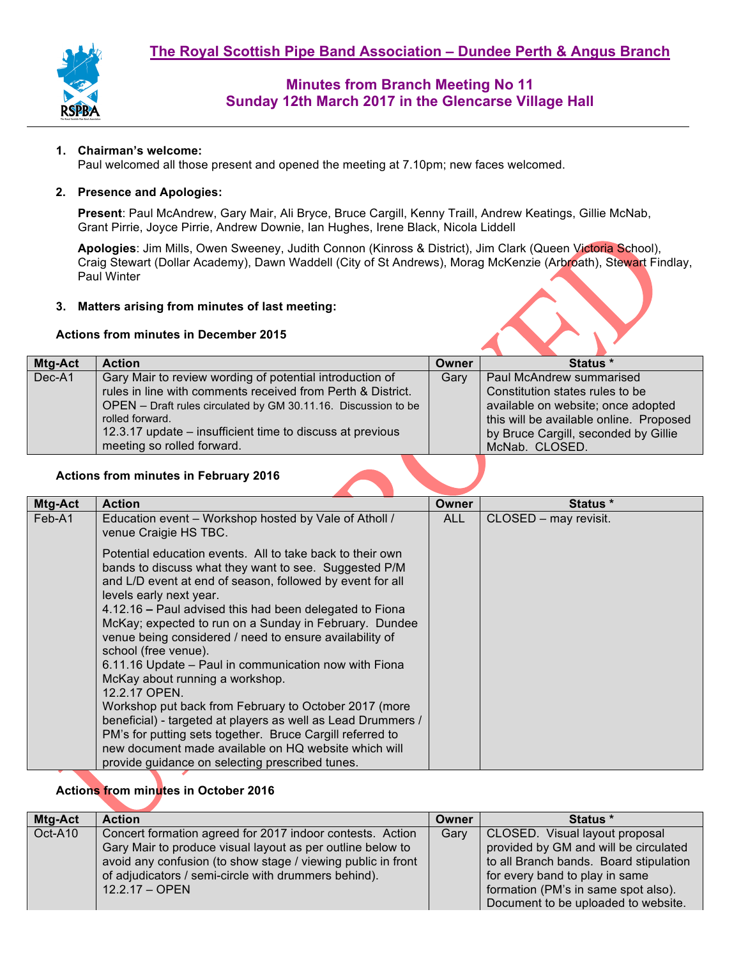

#### **1. Chairman's welcome:**

Paul welcomed all those present and opened the meeting at 7.10pm; new faces welcomed.

#### **2. Presence and Apologies:**

**Present**: Paul McAndrew, Gary Mair, Ali Bryce, Bruce Cargill, Kenny Traill, Andrew Keatings, Gillie McNab, Grant Pirrie, Joyce Pirrie, Andrew Downie, Ian Hughes, Irene Black, Nicola Liddell

**Apologies**: Jim Mills, Owen Sweeney, Judith Connon (Kinross & District), Jim Clark (Queen Victoria School), Craig Stewart (Dollar Academy), Dawn Waddell (City of St Andrews), Morag McKenzie (Arbroath), Stewart Findlay, Paul Winter

#### **3. Matters arising from minutes of last meeting:**

#### **Actions from minutes in December 2015**

| Mtg-Act | <b>Action</b>                                                  | Owner | Status *                                |
|---------|----------------------------------------------------------------|-------|-----------------------------------------|
| Dec-A1  | Gary Mair to review wording of potential introduction of       | Gary  | Paul McAndrew summarised                |
|         | rules in line with comments received from Perth & District.    |       | Constitution states rules to be         |
|         | OPEN - Draft rules circulated by GM 30.11.16. Discussion to be |       | available on website; once adopted      |
|         | rolled forward.                                                |       | this will be available online. Proposed |
|         | 12.3.17 update – insufficient time to discuss at previous      |       | by Bruce Cargill, seconded by Gillie    |
|         | meeting so rolled forward.                                     |       | McNab. CLOSED.                          |
|         |                                                                |       |                                         |

#### **Actions from minutes in February 2016**

| Mtg-Act | <b>Action</b>                                                                                                                                                                                                                                                                                                                                                                                                                                                                                                                                                                                                                                                                                                                                                                                                                    | <b>Owner</b> | Status *              |
|---------|----------------------------------------------------------------------------------------------------------------------------------------------------------------------------------------------------------------------------------------------------------------------------------------------------------------------------------------------------------------------------------------------------------------------------------------------------------------------------------------------------------------------------------------------------------------------------------------------------------------------------------------------------------------------------------------------------------------------------------------------------------------------------------------------------------------------------------|--------------|-----------------------|
| Feb-A1  | Education event - Workshop hosted by Vale of Atholl /<br>venue Craigie HS TBC.                                                                                                                                                                                                                                                                                                                                                                                                                                                                                                                                                                                                                                                                                                                                                   | <b>ALL</b>   | CLOSED - may revisit. |
|         | Potential education events. All to take back to their own<br>bands to discuss what they want to see. Suggested P/M<br>and L/D event at end of season, followed by event for all<br>levels early next year.<br>4.12.16 – Paul advised this had been delegated to Fiona<br>McKay; expected to run on a Sunday in February. Dundee<br>venue being considered / need to ensure availability of<br>school (free venue).<br>6.11.16 Update – Paul in communication now with Fiona<br>McKay about running a workshop.<br>12.2.17 OPEN.<br>Workshop put back from February to October 2017 (more<br>beneficial) - targeted at players as well as Lead Drummers /<br>PM's for putting sets together. Bruce Cargill referred to<br>new document made available on HQ website which will<br>provide guidance on selecting prescribed tunes. |              |                       |

## **Actions from minutes in October 2016**

| Mtg-Act | <b>Action</b>                                                | Owner | Status *                               |
|---------|--------------------------------------------------------------|-------|----------------------------------------|
| Oct-A10 | Concert formation agreed for 2017 indoor contests. Action    | Garv  | CLOSED. Visual layout proposal         |
|         | Gary Mair to produce visual layout as per outline below to   |       | provided by GM and will be circulated  |
|         | avoid any confusion (to show stage / viewing public in front |       | to all Branch bands. Board stipulation |
|         | of adjudicators / semi-circle with drummers behind).         |       | for every band to play in same         |
|         | $12.2.17 - OPEN$                                             |       | formation (PM's in same spot also).    |
|         |                                                              |       | Document to be uploaded to website.    |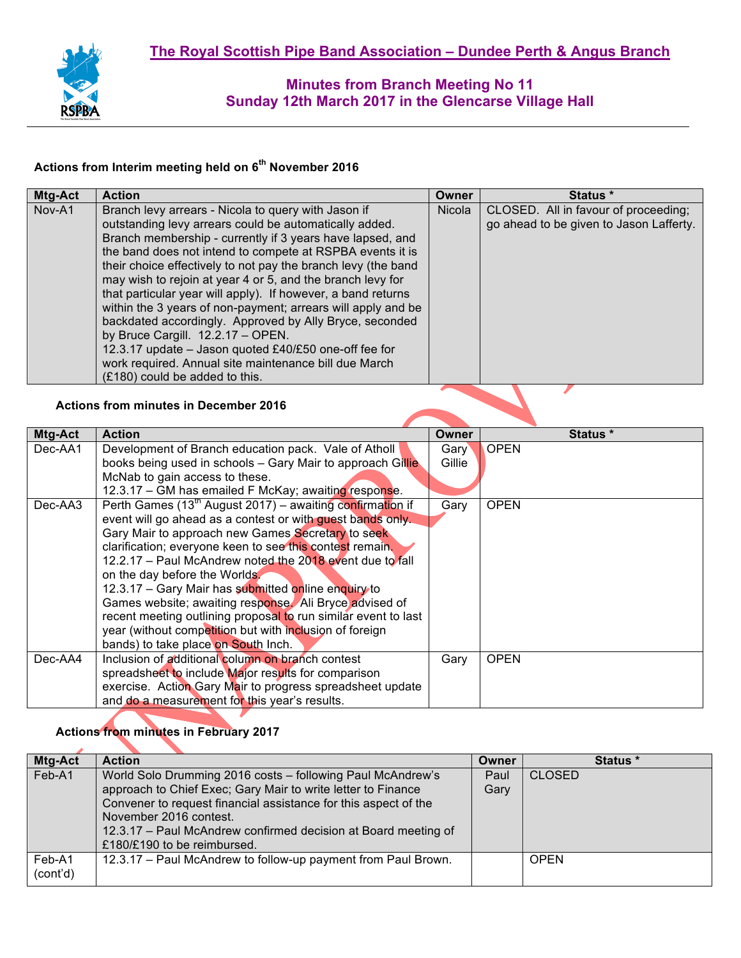

# **Actions from Interim meeting held on 6th November 2016**

| Mtg-Act | <b>Action</b>                                                                                                        | Owner        | Status *                                |
|---------|----------------------------------------------------------------------------------------------------------------------|--------------|-----------------------------------------|
| Nov-A1  | Branch levy arrears - Nicola to query with Jason if                                                                  | Nicola       | CLOSED. All in favour of proceeding;    |
|         | outstanding levy arrears could be automatically added.                                                               |              | go ahead to be given to Jason Lafferty. |
|         | Branch membership - currently if 3 years have lapsed, and                                                            |              |                                         |
|         | the band does not intend to compete at RSPBA events it is                                                            |              |                                         |
|         | their choice effectively to not pay the branch levy (the band                                                        |              |                                         |
|         | may wish to rejoin at year 4 or 5, and the branch levy for                                                           |              |                                         |
|         | that particular year will apply). If however, a band returns                                                         |              |                                         |
|         | within the 3 years of non-payment; arrears will apply and be                                                         |              |                                         |
|         | backdated accordingly. Approved by Ally Bryce, seconded<br>by Bruce Cargill. 12.2.17 - OPEN.                         |              |                                         |
|         | 12.3.17 update - Jason quoted £40/£50 one-off fee for                                                                |              |                                         |
|         | work required. Annual site maintenance bill due March                                                                |              |                                         |
|         | (£180) could be added to this.                                                                                       |              |                                         |
|         |                                                                                                                      |              |                                         |
|         | <b>Actions from minutes in December 2016</b>                                                                         |              |                                         |
|         |                                                                                                                      |              |                                         |
| Mtg-Act | <b>Action</b>                                                                                                        | <b>Owner</b> | Status *                                |
| Dec-AA1 | Development of Branch education pack. Vale of Atholl                                                                 | Gary         | <b>OPEN</b>                             |
|         | books being used in schools - Gary Mair to approach Gillie                                                           | Gillie       |                                         |
|         | McNab to gain access to these.                                                                                       |              |                                         |
|         | 12.3.17 - GM has emailed F McKay; awaiting response.                                                                 |              |                                         |
| Dec-AA3 | Perth Games (13 <sup>th</sup> August 2017) – awaiting confirmation if                                                | Gary         | <b>OPEN</b>                             |
|         | event will go ahead as a contest or with quest bands only.                                                           |              |                                         |
|         | Gary Mair to approach new Games Secretary to seek                                                                    |              |                                         |
|         | clarification; everyone keen to see this contest remain.<br>12.2.17 - Paul McAndrew noted the 2018 event due to fall |              |                                         |
|         | on the day before the Worlds.                                                                                        |              |                                         |
|         | 12.3.17 - Gary Mair has submitted online enquiry to                                                                  |              |                                         |
|         | Games website; awaiting response. Ali Bryce advised of                                                               |              |                                         |
|         | recent meeting outlining proposal to run similar event to last                                                       |              |                                         |
|         | year (without competition but with inclusion of foreign                                                              |              |                                         |
|         | bands) to take place on South Inch.                                                                                  |              |                                         |
| Dec-AA4 | Inclusion of additional column on branch contest                                                                     | Gary         | <b>OPEN</b>                             |
|         | spreadsheet to include Major results for comparison                                                                  |              |                                         |
|         | exercise. Action Gary Mair to progress spreadsheet update                                                            |              |                                         |
|         | and do a measurement for this year's results.                                                                        |              |                                         |

# **Actions from minutes in February 2017**

 $\Delta$ 

| <b>Mtg-Act</b> | <b>Action</b>                                                   | Owner | Status *      |
|----------------|-----------------------------------------------------------------|-------|---------------|
| Feb-A1         | World Solo Drumming 2016 costs - following Paul McAndrew's      | Paul  | <b>CLOSED</b> |
|                | approach to Chief Exec; Gary Mair to write letter to Finance    | Gary  |               |
|                | Convener to request financial assistance for this aspect of the |       |               |
|                | November 2016 contest.                                          |       |               |
|                | 12.3.17 - Paul McAndrew confirmed decision at Board meeting of  |       |               |
|                | £180/£190 to be reimbursed.                                     |       |               |
| Feb-A1         | 12.3.17 - Paul McAndrew to follow-up payment from Paul Brown.   |       | <b>OPEN</b>   |
| (cont'd)       |                                                                 |       |               |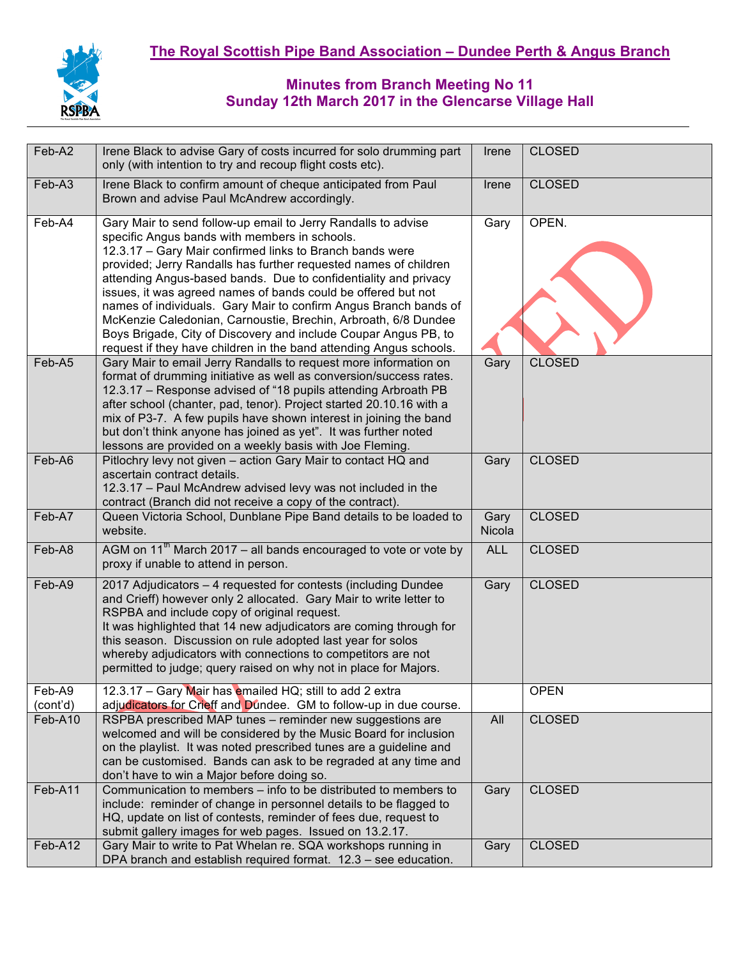

| Feb-A2             | Irene Black to advise Gary of costs incurred for solo drumming part<br>only (with intention to try and recoup flight costs etc).                                                                                                                                                                                                                                                                                                                                                                                                                                                                                                                                  | Irene          | <b>CLOSED</b> |
|--------------------|-------------------------------------------------------------------------------------------------------------------------------------------------------------------------------------------------------------------------------------------------------------------------------------------------------------------------------------------------------------------------------------------------------------------------------------------------------------------------------------------------------------------------------------------------------------------------------------------------------------------------------------------------------------------|----------------|---------------|
| Feb-A3             | Irene Black to confirm amount of cheque anticipated from Paul<br>Brown and advise Paul McAndrew accordingly.                                                                                                                                                                                                                                                                                                                                                                                                                                                                                                                                                      | Irene          | <b>CLOSED</b> |
| Feb-A4             | Gary Mair to send follow-up email to Jerry Randalls to advise<br>specific Angus bands with members in schools.<br>12.3.17 - Gary Mair confirmed links to Branch bands were<br>provided; Jerry Randalls has further requested names of children<br>attending Angus-based bands. Due to confidentiality and privacy<br>issues, it was agreed names of bands could be offered but not<br>names of individuals. Gary Mair to confirm Angus Branch bands of<br>McKenzie Caledonian, Carnoustie, Brechin, Arbroath, 6/8 Dundee<br>Boys Brigade, City of Discovery and include Coupar Angus PB, to<br>request if they have children in the band attending Angus schools. | Gary           | OPEN.         |
| Feb-A5             | Gary Mair to email Jerry Randalls to request more information on<br>format of drumming initiative as well as conversion/success rates.<br>12.3.17 - Response advised of "18 pupils attending Arbroath PB<br>after school (chanter, pad, tenor). Project started 20.10.16 with a<br>mix of P3-7. A few pupils have shown interest in joining the band<br>but don't think anyone has joined as yet". It was further noted<br>lessons are provided on a weekly basis with Joe Fleming.                                                                                                                                                                               | Gary           | <b>CLOSED</b> |
| Feb-A6             | Pitlochry levy not given - action Gary Mair to contact HQ and<br>ascertain contract details.<br>12.3.17 - Paul McAndrew advised levy was not included in the<br>contract (Branch did not receive a copy of the contract).                                                                                                                                                                                                                                                                                                                                                                                                                                         | Gary           | <b>CLOSED</b> |
| Feb-A7             | Queen Victoria School, Dunblane Pipe Band details to be loaded to<br>website.                                                                                                                                                                                                                                                                                                                                                                                                                                                                                                                                                                                     | Gary<br>Nicola | <b>CLOSED</b> |
| Feb-A8             | AGM on $11^{th}$ March 2017 – all bands encouraged to vote or vote by<br>proxy if unable to attend in person.                                                                                                                                                                                                                                                                                                                                                                                                                                                                                                                                                     | <b>ALL</b>     | <b>CLOSED</b> |
| Feb-A9             | 2017 Adjudicators - 4 requested for contests (including Dundee<br>and Crieff) however only 2 allocated. Gary Mair to write letter to<br>RSPBA and include copy of original request.<br>It was highlighted that 14 new adjudicators are coming through for<br>this season. Discussion on rule adopted last year for solos<br>whereby adjudicators with connections to competitors are not<br>permitted to judge; query raised on why not in place for Majors.                                                                                                                                                                                                      | Gary           | <b>CLOSED</b> |
| Feb-A9<br>(cont'd) | 12.3.17 - Gary Mair has emailed HQ; still to add 2 extra<br>adjudicators for Crieff and Dundee. GM to follow-up in due course.                                                                                                                                                                                                                                                                                                                                                                                                                                                                                                                                    |                | <b>OPEN</b>   |
| Feb-A10            | RSPBA prescribed MAP tunes - reminder new suggestions are<br>welcomed and will be considered by the Music Board for inclusion<br>on the playlist. It was noted prescribed tunes are a guideline and<br>can be customised. Bands can ask to be regraded at any time and<br>don't have to win a Major before doing so.                                                                                                                                                                                                                                                                                                                                              | All            | <b>CLOSED</b> |
| Feb-A11            | Communication to members – info to be distributed to members to<br>include: reminder of change in personnel details to be flagged to<br>HQ, update on list of contests, reminder of fees due, request to<br>submit gallery images for web pages. Issued on 13.2.17.                                                                                                                                                                                                                                                                                                                                                                                               | Gary           | <b>CLOSED</b> |
| Feb-A12            | Gary Mair to write to Pat Whelan re. SQA workshops running in<br>DPA branch and establish required format. 12.3 - see education.                                                                                                                                                                                                                                                                                                                                                                                                                                                                                                                                  | Gary           | <b>CLOSED</b> |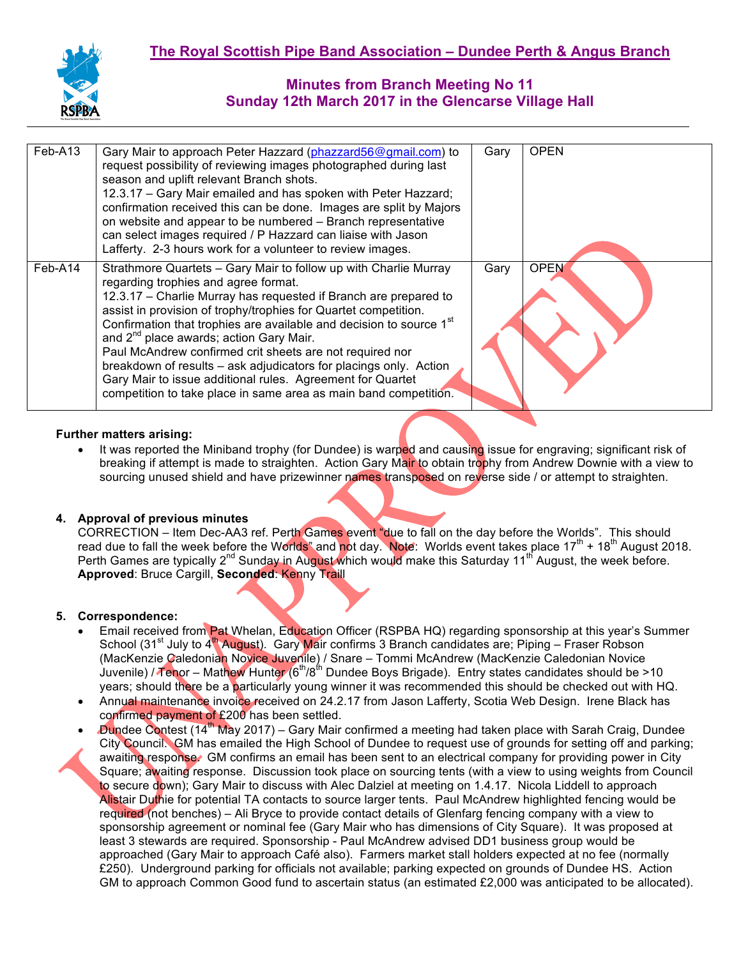

| Feb-A13 | Gary Mair to approach Peter Hazzard (phazzard56@gmail.com) to<br>request possibility of reviewing images photographed during last<br>season and uplift relevant Branch shots.<br>12.3.17 - Gary Mair emailed and has spoken with Peter Hazzard;<br>confirmation received this can be done. Images are split by Majors<br>on website and appear to be numbered - Branch representative<br>can select images required / P Hazzard can liaise with Jason<br>Lafferty. 2-3 hours work for a volunteer to review images.                                                                                                                                          | Gary | <b>OPEN</b> |
|---------|--------------------------------------------------------------------------------------------------------------------------------------------------------------------------------------------------------------------------------------------------------------------------------------------------------------------------------------------------------------------------------------------------------------------------------------------------------------------------------------------------------------------------------------------------------------------------------------------------------------------------------------------------------------|------|-------------|
| Feb-A14 | Strathmore Quartets - Gary Mair to follow up with Charlie Murray<br>regarding trophies and agree format.<br>12.3.17 – Charlie Murray has requested if Branch are prepared to<br>assist in provision of trophy/trophies for Quartet competition.<br>Confirmation that trophies are available and decision to source 1 <sup>st</sup><br>and 2 <sup>nd</sup> place awards; action Gary Mair.<br>Paul McAndrew confirmed crit sheets are not required nor<br>breakdown of results – ask adjudicators for placings only. Action<br>Gary Mair to issue additional rules. Agreement for Quartet<br>competition to take place in same area as main band competition. | Gary | <b>OPEN</b> |

## **Further matters arising:**

It was reported the Miniband trophy (for Dundee) is warped and causing issue for engraving; significant risk of breaking if attempt is made to straighten. Action Gary Mair to obtain trophy from Andrew Downie with a view to sourcing unused shield and have prizewinner names transposed on reverse side / or attempt to straighten.

## **4. Approval of previous minutes**

CORRECTION – Item Dec-AA3 ref. Perth Games event "due to fall on the day before the Worlds". This should read due to fall the week before the Worlds" and not day. Note: Worlds event takes place  $17<sup>th</sup> + 18<sup>th</sup>$  August 2018. Perth Games are typically  $2^{nd}$  Sunday in August which would make this Saturday 11<sup>th</sup> August, the week before. **Approved**: Bruce Cargill, **Seconded**: Kenny Traill

#### **5. Correspondence:**

- Email received from Pat Whelan, Education Officer (RSPBA HQ) regarding sponsorship at this year's Summer School (31<sup>st</sup> July to 4<sup>th</sup> August). Gary Mair confirms 3 Branch candidates are; Piping – Fraser Robson (MacKenzie Caledonian Novice Juvenile) / Snare – Tommi McAndrew (MacKenzie Caledonian Novice Juvenile) / Tenor – Mathew Hunter (6<sup>th</sup>/8<sup>th</sup> Dundee Boys Brigade). Entry states candidates should be >10 years; should there be a particularly young winner it was recommended this should be checked out with HQ.
- Annual maintenance invoice received on 24.2.17 from Jason Lafferty, Scotia Web Design. Irene Black has confirmed payment of £200 has been settled.
- Dundee Contest (14th May 2017) Gary Mair confirmed a meeting had taken place with Sarah Craig, Dundee City Council. GM has emailed the High School of Dundee to request use of grounds for setting off and parking; awaiting response. GM confirms an email has been sent to an electrical company for providing power in City Square; awaiting response. Discussion took place on sourcing tents (with a view to using weights from Council to secure down); Gary Mair to discuss with Alec Dalziel at meeting on 1.4.17. Nicola Liddell to approach Alistair Duthie for potential TA contacts to source larger tents. Paul McAndrew highlighted fencing would be required (not benches) – Ali Bryce to provide contact details of Glenfarg fencing company with a view to sponsorship agreement or nominal fee (Gary Mair who has dimensions of City Square). It was proposed at least 3 stewards are required. Sponsorship - Paul McAndrew advised DD1 business group would be approached (Gary Mair to approach Café also). Farmers market stall holders expected at no fee (normally £250). Underground parking for officials not available; parking expected on grounds of Dundee HS. Action GM to approach Common Good fund to ascertain status (an estimated £2,000 was anticipated to be allocated).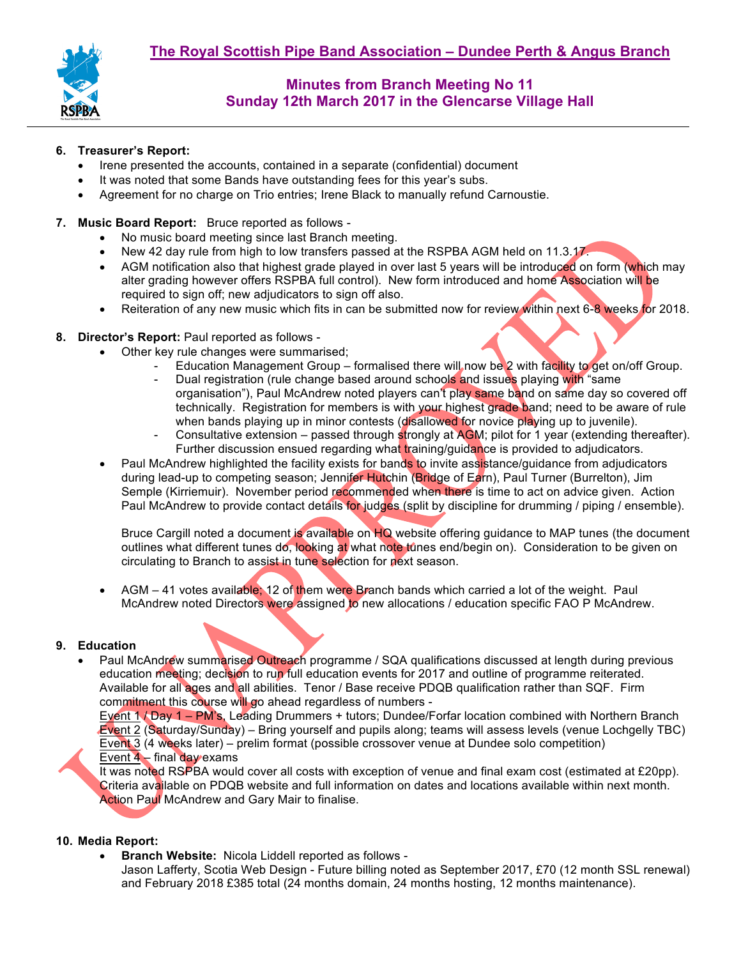

#### **6. Treasurer's Report:**

- Irene presented the accounts, contained in a separate (confidential) document
- It was noted that some Bands have outstanding fees for this year's subs.
- Agreement for no charge on Trio entries; Irene Black to manually refund Carnoustie.
- **7. Music Board Report:** Bruce reported as follows
	- No music board meeting since last Branch meeting.
	- New 42 day rule from high to low transfers passed at the RSPBA AGM held on 11.3.17.
	- AGM notification also that highest grade played in over last 5 years will be introduced on form (which may alter grading however offers RSPBA full control). New form introduced and home Association will be required to sign off; new adjudicators to sign off also.
	- Reiteration of any new music which fits in can be submitted now for review within next 6-8 weeks for 2018.
- **8. Director's Report:** Paul reported as follows
	- Other key rule changes were summarised;
		- Education Management Group formalised there will now be 2 with facility to get on/off Group.
		- Dual registration (rule change based around schools and issues playing with "same organisation"), Paul McAndrew noted players can't play same band on same day so covered off technically. Registration for members is with your highest grade band; need to be aware of rule when bands playing up in minor contests (disallowed for novice playing up to juvenile).
		- Consultative extension passed through strongly at AGM; pilot for 1 year (extending thereafter). Further discussion ensued regarding what training/guidance is provided to adjudicators.
	- Paul McAndrew highlighted the facility exists for bands to invite assistance/guidance from adjudicators during lead-up to competing season; Jennifer Hutchin (Bridge of Earn), Paul Turner (Burrelton), Jim Semple (Kirriemuir). November period recommended when there is time to act on advice given. Action Paul McAndrew to provide contact details for judges (split by discipline for drumming / piping / ensemble).

Bruce Cargill noted a document is available on HQ website offering guidance to MAP tunes (the document outlines what different tunes do, looking at what note tunes end/begin on). Consideration to be given on circulating to Branch to assist in tune selection for next season.

AGM – 41 votes available; 12 of them were Branch bands which carried a lot of the weight. Paul McAndrew noted Directors were assigned to new allocations / education specific FAO P McAndrew.

#### **9. Education**

• Paul McAndrew summarised Outreach programme / SQA qualifications discussed at length during previous education meeting; decision to run full education events for 2017 and outline of programme reiterated. Available for all ages and all abilities. Tenor / Base receive PDQB qualification rather than SQF. Firm commitment this course will go ahead regardless of numbers -

Event 1 / Day 1 – PM's, Leading Drummers + tutors; Dundee/Forfar location combined with Northern Branch Event 2 (Saturday/Sunday) – Bring yourself and pupils along; teams will assess levels (venue Lochgelly TBC) Event 3 (4 weeks later) – prelim format (possible crossover venue at Dundee solo competition) Event  $4$  – final day exams

It was noted RSPBA would cover all costs with exception of venue and final exam cost (estimated at £20pp). Criteria available on PDQB website and full information on dates and locations available within next month. Action Paul McAndrew and Gary Mair to finalise.

#### **10. Media Report:**

• **Branch Website:** Nicola Liddell reported as follows -

Jason Lafferty, Scotia Web Design - Future billing noted as September 2017, £70 (12 month SSL renewal) and February 2018 £385 total (24 months domain, 24 months hosting, 12 months maintenance).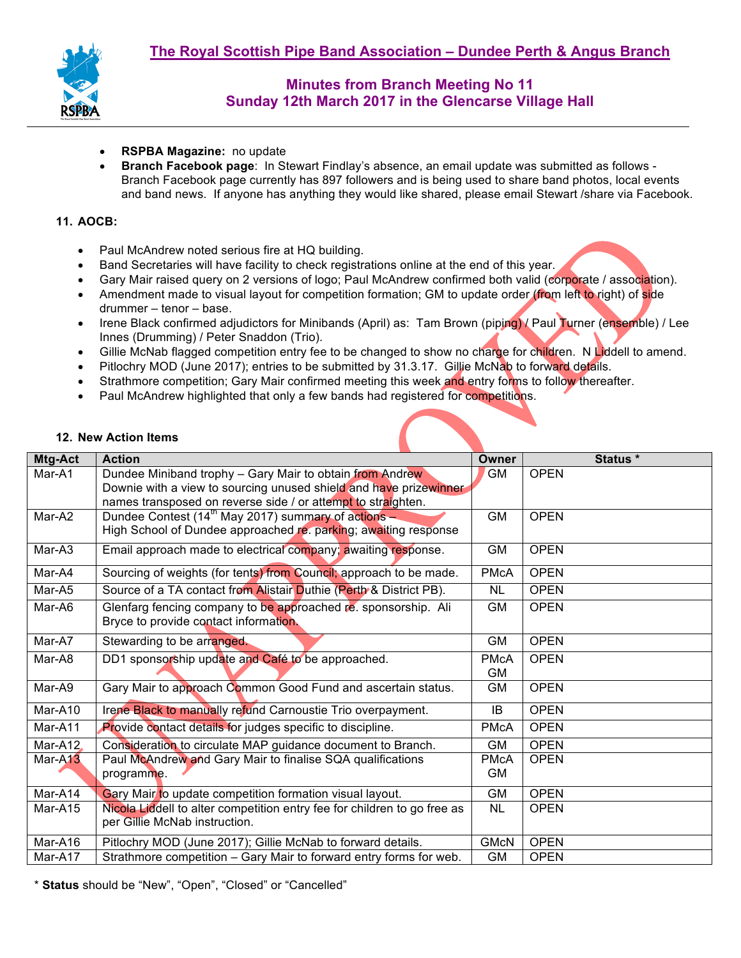

- **RSPBA Magazine:** no update
- **Branch Facebook page**: In Stewart Findlay's absence, an email update was submitted as follows Branch Facebook page currently has 897 followers and is being used to share band photos, local events and band news. If anyone has anything they would like shared, please email Stewart /share via Facebook.

#### **11. AOCB:**

- Paul McAndrew noted serious fire at HQ building.
- Band Secretaries will have facility to check registrations online at the end of this year.
- Gary Mair raised query on 2 versions of logo; Paul McAndrew confirmed both valid (corporate / association).
- Amendment made to visual layout for competition formation; GM to update order (from left to right) of side drummer – tenor – base.
- Irene Black confirmed adjudictors for Minibands (April) as: Tam Brown (piping) / Paul Turner (ensemble) / Lee Innes (Drumming) / Peter Snaddon (Trio).
- Gillie McNab flagged competition entry fee to be changed to show no charge for children. N Liddell to amend.
- Pitlochry MOD (June 2017); entries to be submitted by 31.3.17. Gillie McNab to forward details.
- Strathmore competition; Gary Mair confirmed meeting this week and entry forms to follow thereafter.
- Paul McAndrew highlighted that only a few bands had registered for competitions.

#### **12. New Action Items**

| Mtg-Act                      | <b>Action</b>                                                            | <b>Owner</b> | Status *    |
|------------------------------|--------------------------------------------------------------------------|--------------|-------------|
| Mar-A1                       | Dundee Miniband trophy - Gary Mair to obtain from Andrew                 | <b>GM</b>    | <b>OPEN</b> |
|                              | Downie with a view to sourcing unused shield and have prizewinner        |              |             |
|                              | names transposed on reverse side / or attempt to straighten.             |              |             |
| Mar-A2                       | Dundee Contest ( $14^{\text{th}}$ May 2017) summary of actions -         | <b>GM</b>    | <b>OPEN</b> |
|                              | High School of Dundee approached re. parking; awaiting response          |              |             |
| Mar-A3                       | Email approach made to electrical company; awaiting response.            | <b>GM</b>    | <b>OPEN</b> |
| Mar-A4                       | Sourcing of weights (for tents) from Council; approach to be made.       | <b>PMcA</b>  | <b>OPEN</b> |
| Mar-A5                       | Source of a TA contact from Alistair Duthie (Perth & District PB).       | <b>NL</b>    | <b>OPEN</b> |
| Mar-A6                       | Glenfarg fencing company to be approached re. sponsorship. Ali           | <b>GM</b>    | <b>OPEN</b> |
|                              | Bryce to provide contact information.                                    |              |             |
| Mar-A7                       | Stewarding to be arranged.                                               | <b>GM</b>    | <b>OPEN</b> |
| Mar-A8                       | DD1 sponsorship update and Café to be approached.                        | <b>PMcA</b>  | <b>OPEN</b> |
|                              |                                                                          | <b>GM</b>    |             |
| Mar-A9                       | Gary Mair to approach Common Good Fund and ascertain status.             | GM           | <b>OPEN</b> |
| Mar-A10                      | Irene Black to manually refund Carnoustie Trio overpayment.              | IB           | <b>OPEN</b> |
| Mar-A11                      | Provide contact details for judges specific to discipline.               | <b>PMcA</b>  | <b>OPEN</b> |
| Mar-A12                      | Consideration to circulate MAP guidance document to Branch.              | GM           | <b>OPEN</b> |
| Mar-A <sub>13</sub>          | Paul McAndrew and Gary Mair to finalise SQA qualifications               | <b>PMcA</b>  | <b>OPEN</b> |
|                              | programme.                                                               | <b>GM</b>    |             |
| $\overline{\text{Mar-A}}$ 14 | Gary Mair to update competition formation visual layout.                 | <b>GM</b>    | <b>OPEN</b> |
| Mar-A15                      | Nicola Liddell to alter competition entry fee for children to go free as | <b>NL</b>    | <b>OPEN</b> |
|                              | per Gillie McNab instruction.                                            |              |             |
| Mar-A16                      | Pitlochry MOD (June 2017); Gillie McNab to forward details.              | <b>GMcN</b>  | <b>OPEN</b> |
| Mar-A17                      | Strathmore competition - Gary Mair to forward entry forms for web.       | <b>GM</b>    | <b>OPEN</b> |

\* **Status** should be "New", "Open", "Closed" or "Cancelled"